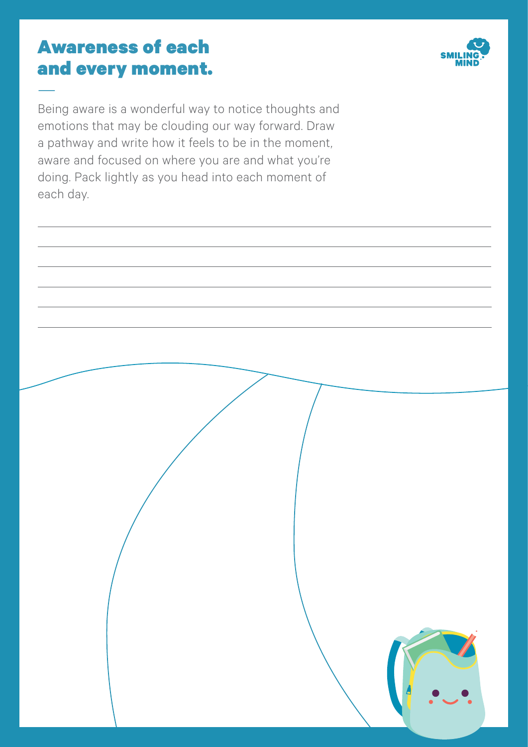### Awareness of each and every moment.

—



Being aware is a wonderful way to notice thoughts and emotions that may be clouding our way forward. Draw a pathway and write how it feels to be in the moment, aware and focused on where you are and what you're doing. Pack lightly as you head into each moment of each day.

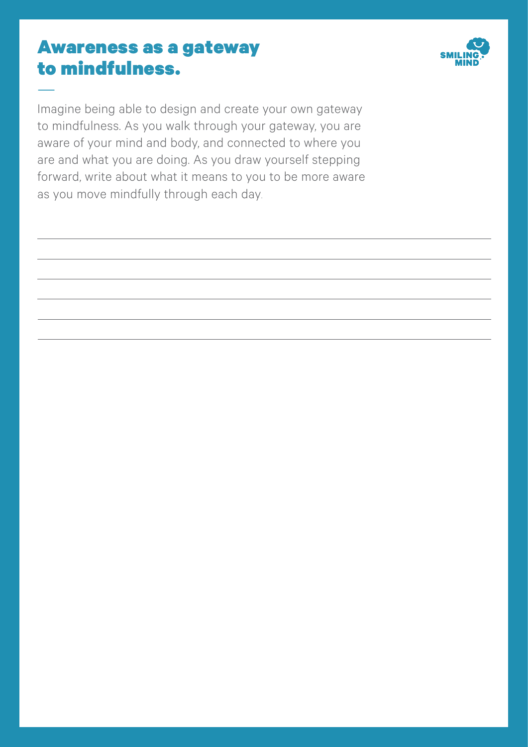#### Awareness as a gateway to mindfulness.

—



Imagine being able to design and create your own gateway to mindfulness. As you walk through your gateway, you are aware of your mind and body, and connected to where you are and what you are doing. As you draw yourself stepping forward, write about what it means to you to be more aware as you move mindfully through each day.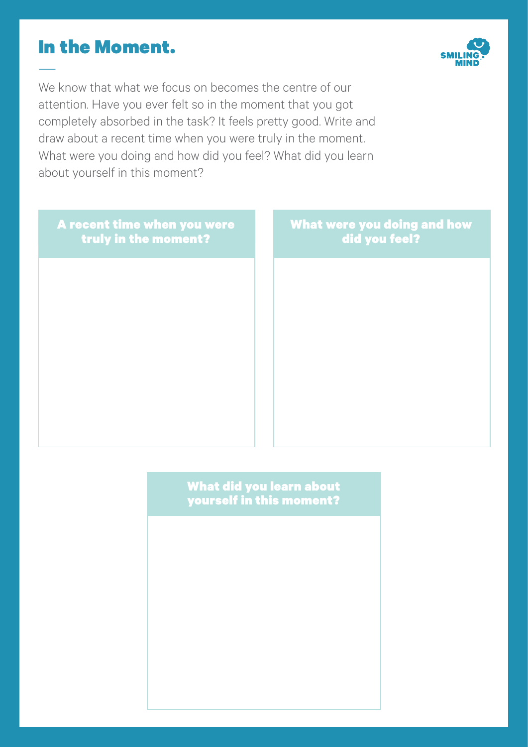#### In the Moment.

—



We know that what we focus on becomes the centre of our attention. Have you ever felt so in the moment that you got completely absorbed in the task? It feels pretty good. Write and draw about a recent time when you were truly in the moment. What were you doing and how did you feel? What did you learn about yourself in this moment?

A recent time when you were truly in the moment? What were you doing and how did you feel?

> What did you learn about yourself in this moment?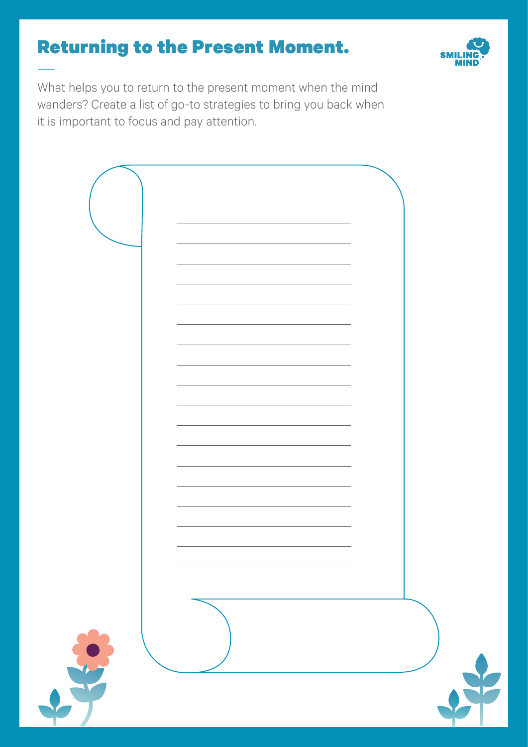### Returning to the Present Moment. —



What helps you to return to the present moment when the mind wanders? Create a list of go-to strategies to bring you back when it is important to focus and pay attention.

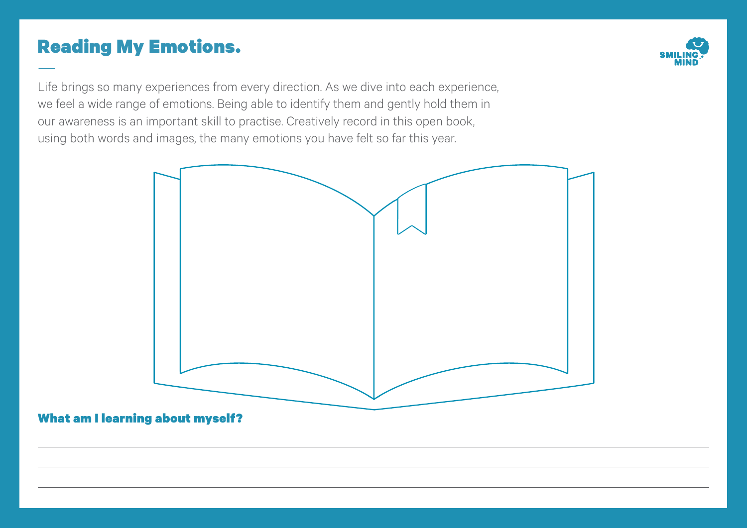### Reading My Emotions. —



Life brings so many experiences from every direction. As we dive into each experience, we feel a wide range of emotions. Being able to identify them and gently hold them in our awareness is an important skill to practise. Creatively record in this open book, using both words and images, the many emotions you have felt so far this year.

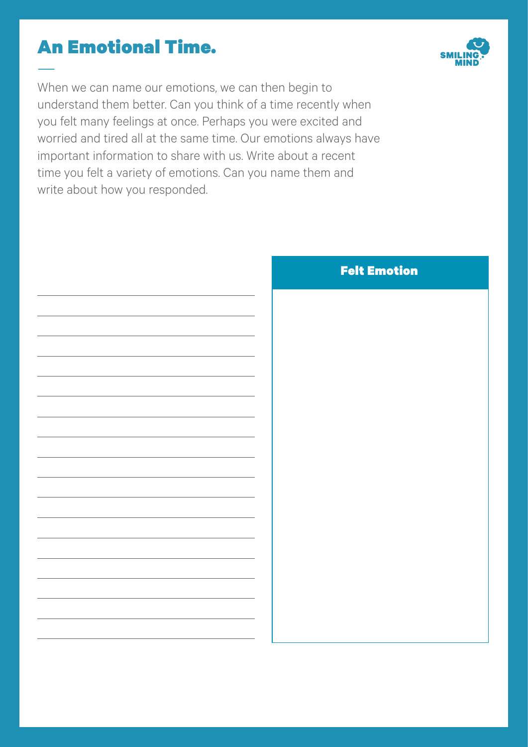### An Emotional Time. —

When we can name our emotions, we can then begin to understand them better. Can you think of a time recently when you felt many feelings at once. Perhaps you were excited and worried and tired all at the same time. Our emotions always have important information to share with us. Write about a recent time you felt a variety of emotions. Can you name them and write about how you responded.



#### Felt Emotion

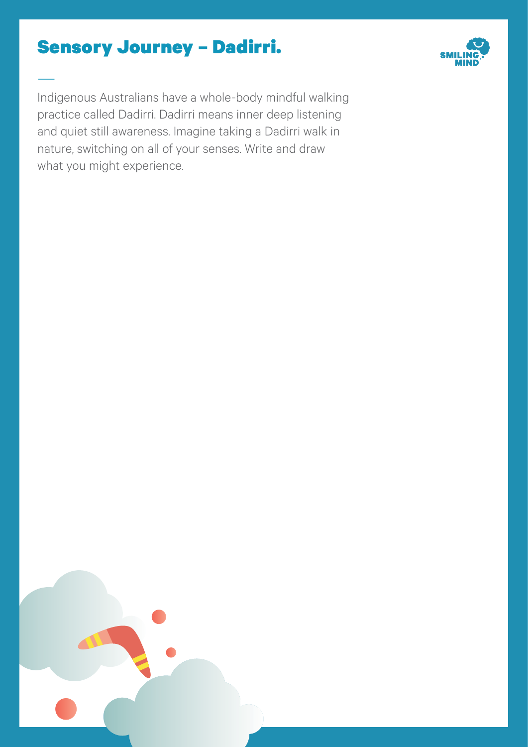### Sensory Journey – Dadirri.

—



Indigenous Australians have a whole-body mindful walking practice called Dadirri. Dadirri means inner deep listening and quiet still awareness. Imagine taking a Dadirri walk in nature, switching on all of your senses. Write and draw what you might experience.

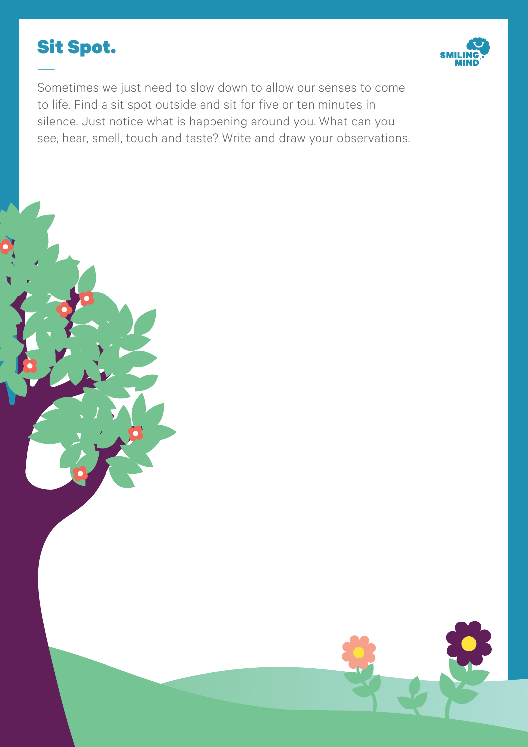



Sometimes we just need to slow down to allow our senses to come to life. Find a sit spot outside and sit for five or ten minutes in silence. Just notice what is happening around you. What can you see, hear, smell, touch and taste? Write and draw your observations.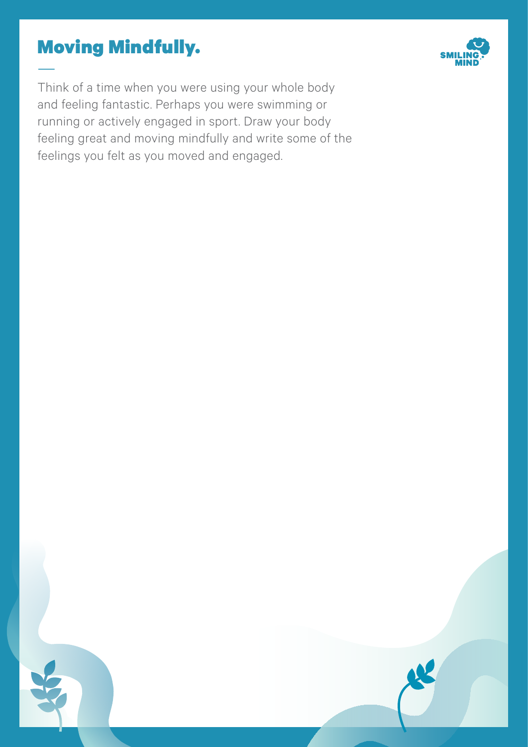### Moving Mindfully. —



Think of a time when you were using your whole body and feeling fantastic. Perhaps you were swimming or running or actively engaged in sport. Draw your body feeling great and moving mindfully and write some of the feelings you felt as you moved and engaged.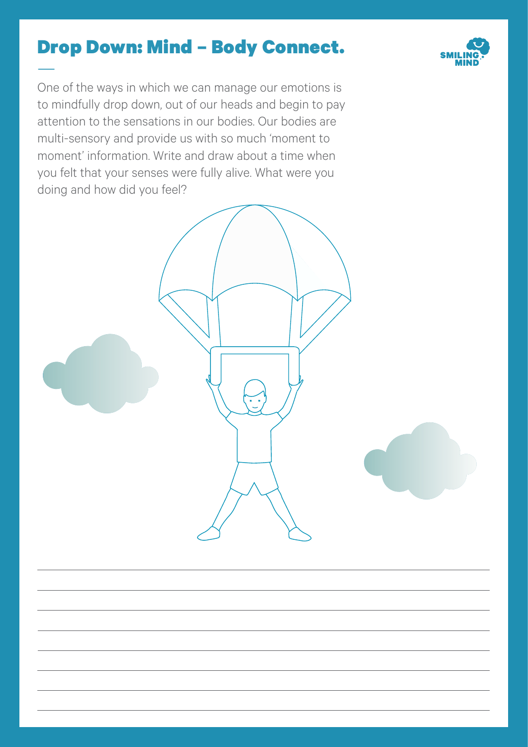### Drop Down: Mind – Body Connect.

—



One of the ways in which we can manage our emotions is to mindfully drop down, out of our heads and begin to pay attention to the sensations in our bodies. Our bodies are multi-sensory and provide us with so much 'moment to moment' information. Write and draw about a time when you felt that your senses were fully alive. What were you doing and how did you feel?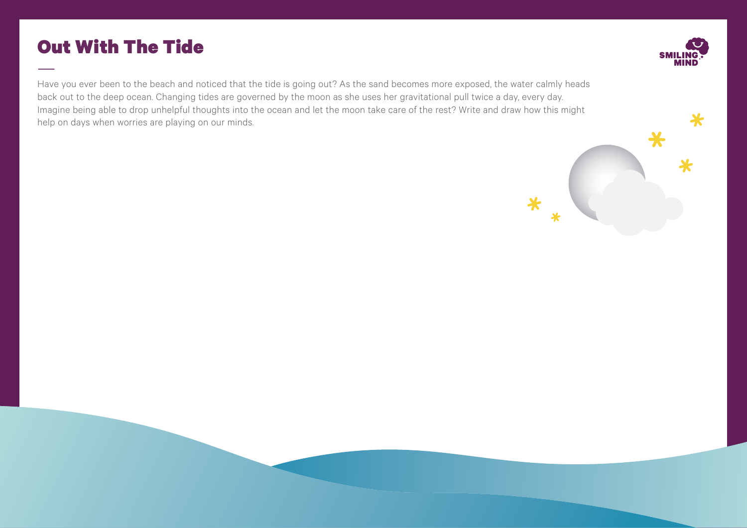### Out With The Tide



—Have you ever been to the beach and noticed that the tide is going out? As the sand becomes more exposed, the water calmly heads back out to the deep ocean. Changing tides are governed by the moon as she uses her gravitational pull twice a day, every day. Imagine being able to drop unhelpful thoughts into the ocean and let the moon take care of the rest? Write and draw how this might help on days when worries are playing on our minds.

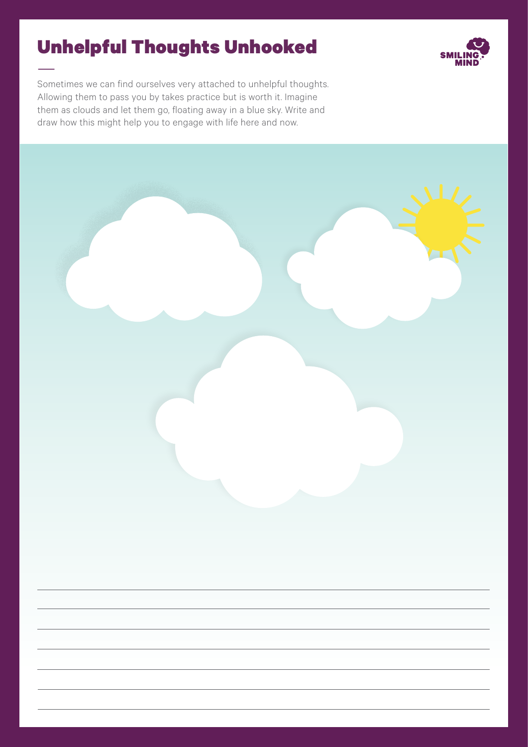# Unhelpful Thoughts Unhooked



Sometimes we can find ourselves very attached to unhelpful thoughts. Allowing them to pass you by takes practice but is worth it. Imagine them as clouds and let them go, floating away in a blue sky. Write and draw how this might help you to engage with life here and now.

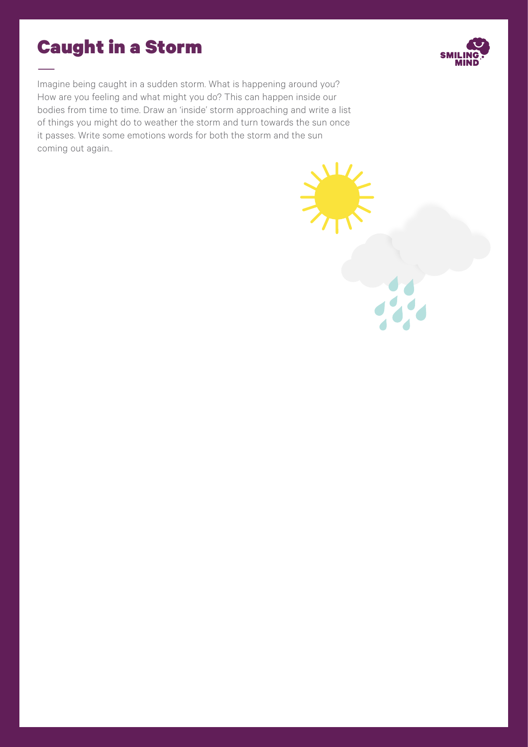### Caught in a Storm

Imagine being caught in a sudden storm. What is happening around you? How are you feeling and what might you do? This can happen inside our bodies from time to time. Draw an 'inside' storm approaching and write a list of things you might do to weather the storm and turn towards the sun once it passes. Write some emotions words for both the storm and the sun coming out again..

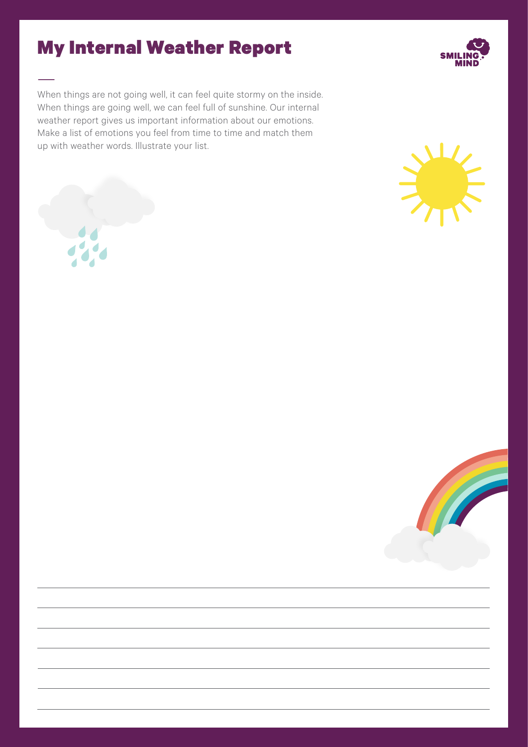### My Internal Weather Report

When things are not going well, it can feel quite stormy on the inside. When things are going well, we can feel full of sunshine. Our internal weather report gives us important information about our emotions. Make a list of emotions you feel from time to time and match them up with weather words. Illustrate your list.







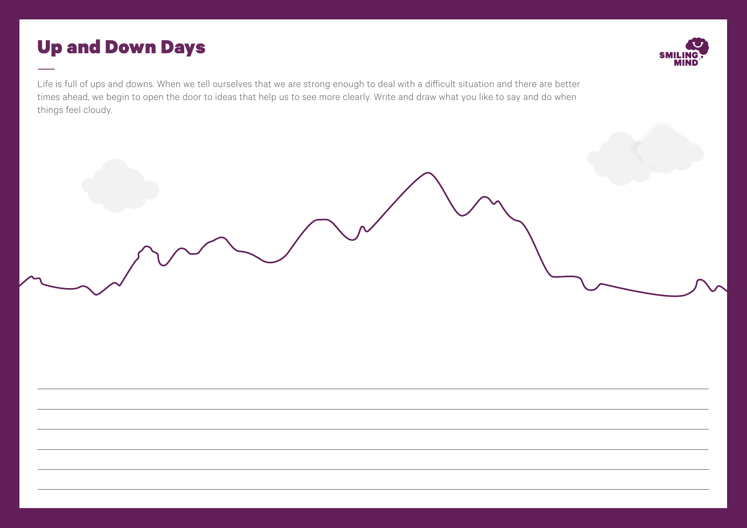### Up and Down Days



Life is full of ups and downs. When we tell ourselves that we are strong enough to deal with a difficult situation and there are better times ahead, we begin to open the door to ideas that help us to see more clearly. Write and draw what you like to say and do when things feel cloudy.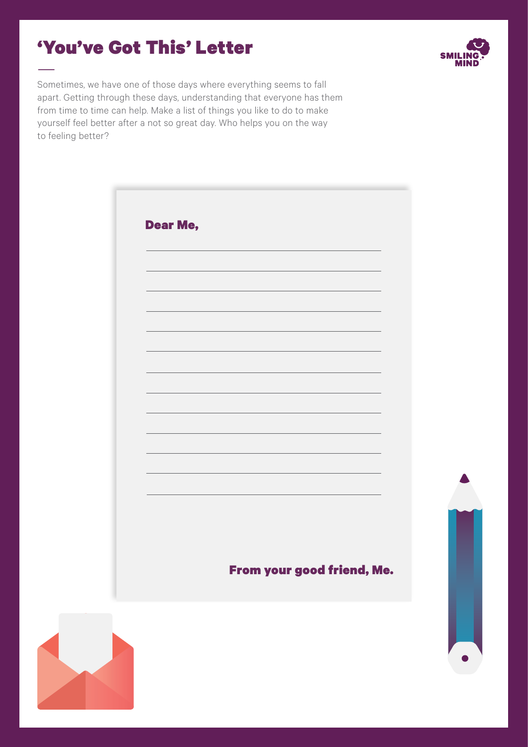### 'You've Got This' Letter



Sometimes, we have one of those days where everything seems to fall apart. Getting through these days, understanding that everyone has them from time to time can help. Make a list of things you like to do to make yourself feel better after a not so great day. Who helps you on the way to feeling better?

| <b>Dear Me,</b> |                            |
|-----------------|----------------------------|
|                 |                            |
|                 |                            |
|                 |                            |
|                 |                            |
|                 |                            |
|                 |                            |
|                 |                            |
|                 |                            |
|                 |                            |
|                 |                            |
|                 |                            |
|                 |                            |
|                 |                            |
|                 |                            |
|                 |                            |
|                 | From your good friend, Me. |
|                 |                            |

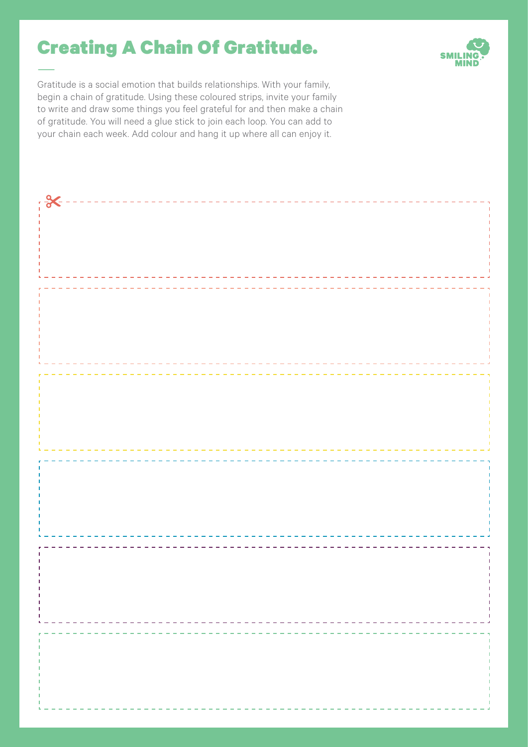## Creating A Chain Of Gratitude.



—Gratitude is a social emotion that builds relationships. With your family, begin a chain of gratitude. Using these coloured strips, invite your family to write and draw some things you feel grateful for and then make a chain of gratitude. You will need a glue stick to join each loop. You can add to your chain each week. Add colour and hang it up where all can enjoy it.

| . X --------------------------- |  |  |
|---------------------------------|--|--|
|                                 |  |  |
|                                 |  |  |
|                                 |  |  |
|                                 |  |  |
|                                 |  |  |
|                                 |  |  |
|                                 |  |  |
|                                 |  |  |
|                                 |  |  |
|                                 |  |  |
|                                 |  |  |
|                                 |  |  |
|                                 |  |  |
|                                 |  |  |
|                                 |  |  |
|                                 |  |  |
|                                 |  |  |
|                                 |  |  |
|                                 |  |  |
|                                 |  |  |
|                                 |  |  |
|                                 |  |  |
|                                 |  |  |
|                                 |  |  |
|                                 |  |  |
|                                 |  |  |
|                                 |  |  |
|                                 |  |  |
|                                 |  |  |
|                                 |  |  |
|                                 |  |  |
|                                 |  |  |
|                                 |  |  |
|                                 |  |  |
|                                 |  |  |
|                                 |  |  |
|                                 |  |  |
|                                 |  |  |
|                                 |  |  |
|                                 |  |  |
|                                 |  |  |
|                                 |  |  |
|                                 |  |  |
|                                 |  |  |
|                                 |  |  |
|                                 |  |  |
|                                 |  |  |
|                                 |  |  |
|                                 |  |  |
|                                 |  |  |
|                                 |  |  |
|                                 |  |  |
|                                 |  |  |
|                                 |  |  |
|                                 |  |  |
|                                 |  |  |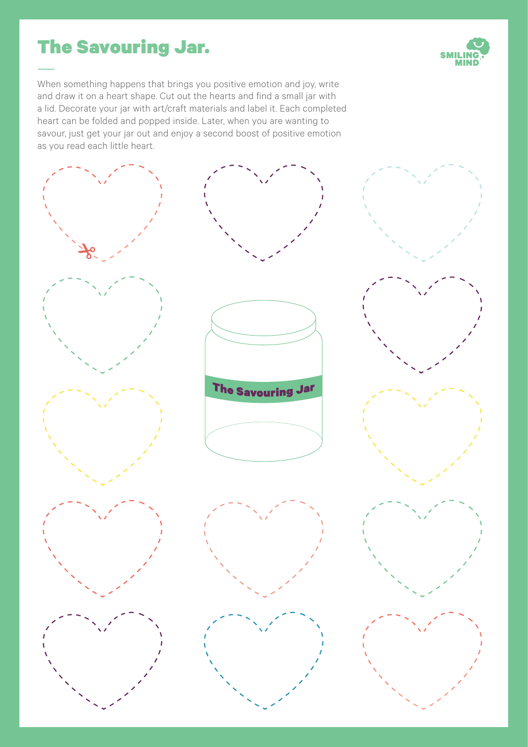## The Savouring Jar.



When something happens that brings you positive emotion and joy, write and draw it on a heart shape. Cut out the hearts and find a small jar with a lid. Decorate your jar with art/craft materials and label it. Each completed heart can be folded and popped inside. Later, when you are wanting to savour, just get your jar out and enjoy a second boost of positive emotion as you read each little heart.

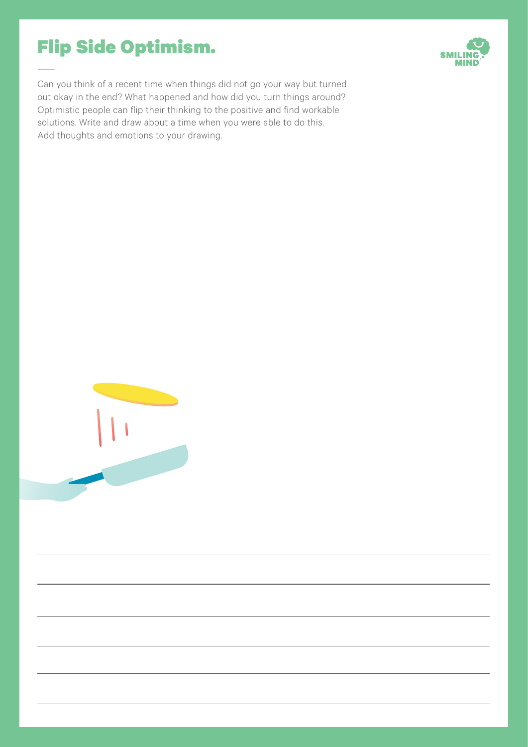# Flip Side Optimism.



Can you think of a recent time when things did not go your way but turned out okay in the end? What happened and how did you turn things around? Optimistic people can flip their thinking to the positive and find workable solutions. Write and draw about a time when you were able to do this. Add thoughts and emotions to your drawing.

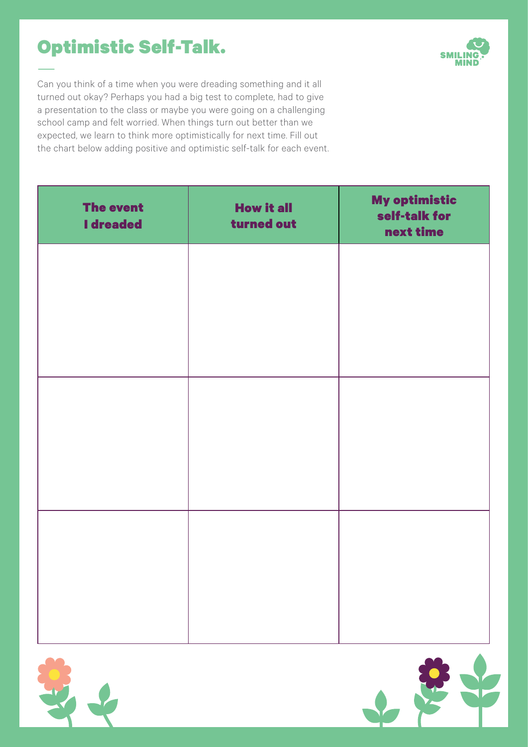# Optimistic Self-Talk.



Can you think of a time when you were dreading something and it all turned out okay? Perhaps you had a big test to complete, had to give a presentation to the class or maybe you were going on a challenging school camp and felt worried. When things turn out better than we expected, we learn to think more optimistically for next time. Fill out the chart below adding positive and optimistic self-talk for each event.

| <b>The event</b><br><b>I</b> dreaded | <b>How it all</b><br>turned out | <b>My optimistic</b><br>self-talk for<br>next time |
|--------------------------------------|---------------------------------|----------------------------------------------------|
|                                      |                                 |                                                    |
|                                      |                                 |                                                    |
|                                      |                                 |                                                    |
|                                      |                                 |                                                    |
|                                      |                                 |                                                    |
|                                      |                                 |                                                    |
|                                      |                                 |                                                    |



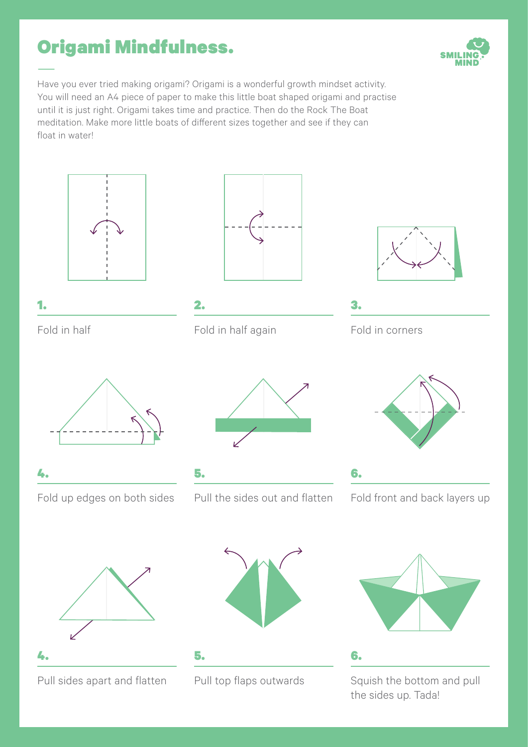# Origami Mindfulness.





1.

Fold in half



2. Fold in half again



3.

Fold in corners



Fold up edges on both sides



5. Pull the sides out and flatten



6.

6.

Fold front and back layers up



Pull sides apart and flatten

4.

4.



Pull top flaps outwards

5.



Squish the bottom and pull the sides up. Tada!